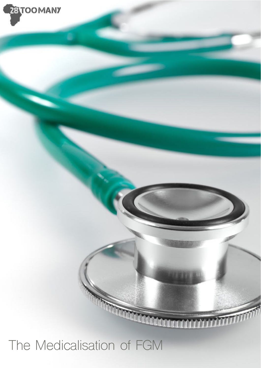

### The Medicalisation of FGM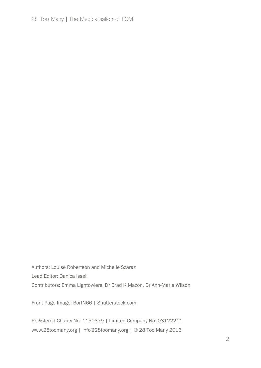Authors: Louise Robertson and Michelle Szaraz Lead Editor: Danica Issell Contributors: Emma Lightowlers, Dr Brad K Mazon, Dr Ann-Marie Wilson

Front Page Image: BortN66 | Shutterstock.com

Registered Charity No: 1150379 | Limited Company No: 08122211 www.28toomany.org | info@28toomany.org | © 28 Too Many 2016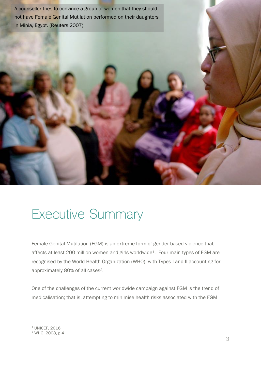not have Female Genital Mutilation performed on their daughters A counsellor tries to convince a group of women that they should in Minia, Egypt. (Reuters 2007)



### Executive Summary

Female Genital Mutilation (FGM) is an extreme form of gender-based violence that affects at least 200 million women and girls worldwide<sup>1</sup>. Four main types of FGM are recognised by the World Health Organization (WHO), with Types I and II accounting for approximately 80% of all cases2.

One of the challenges of the current worldwide campaign against FGM is the trend of medicalisation; that is, attempting to minimise health risks associated with the FGM

<sup>1</sup> UNICEF, 2016

<sup>2</sup> WHO, 2008, p.4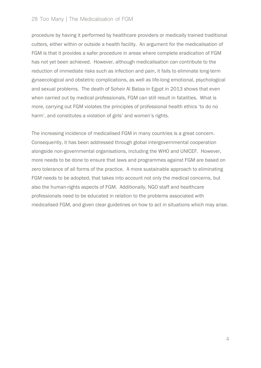#### 28 Too Many | The Medicalisation of FGM

procedure by having it performed by healthcare providers or medically trained traditional cutters, either within or outside a health facility. An argument for the medicalisation of FGM is that it provides a safer procedure in areas where complete eradication of FGM has not yet been achieved. However, although medicalisation can contribute to the reduction of immediate risks such as infection and pain, it fails to eliminate long-term gynaecological and obstetric complications, as well as life-long emotional, psychological and sexual problems. The death of Soheir Al Bataa in Egypt in 2013 shows that even when carried out by medical professionals, FGM can still result in fatalities. What is more, carrying out FGM violates the principles of professional health ethics 'to do no harm', and constitutes a violation of girls' and women's rights.

The increasing incidence of medicalised FGM in many countries is a great concern. Consequently, it has been addressed through global intergovernmental cooperation alongside non-governmental organisations, including the WHO and UNICEF. However, more needs to be done to ensure that laws and programmes against FGM are based on zero tolerance of all forms of the practice. A more sustainable approach to eliminating FGM needs to be adopted, that takes into account not only the medical concerns, but also the human-rights aspects of FGM. Additionally, NGO staff and healthcare professionals need to be educated in relation to the problems associated with medicalised FGM, and given clear guidelines on how to act in situations which may arise.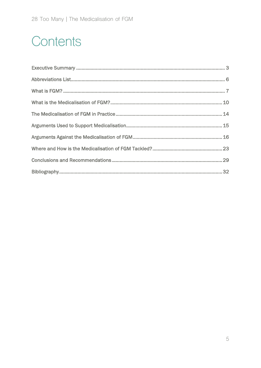### Contents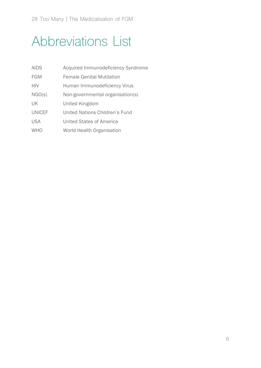### Abbreviations List

| <b>AIDS</b>   | Acquired Immunodeficiency Syndrome |
|---------------|------------------------------------|
| <b>FGM</b>    | <b>Female Genital Mutilation</b>   |
| <b>HIV</b>    | Human Immunodeficiency Virus       |
| NGO(S)        | Non-governmental organisation(s)   |
| UK            | United Kingdom                     |
| <b>UNICEF</b> | United Nations Children's Fund     |
| <b>USA</b>    | United States of America           |
| <b>WHO</b>    | World Health Organisation          |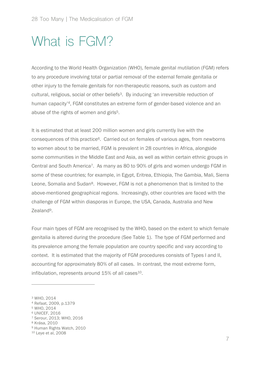### What is FGM?

According to the World Health Organization (WHO), female genital mutilation (FGM) refers to any procedure involving total or partial removal of the external female genitalia or other injury to the female genitals for non-therapeutic reasons, such as custom and cultural, religious, social or other beliefs<sup>3</sup>. By inducing 'an irreversible reduction of human capacity'4, FGM constitutes an extreme form of gender-based violence and an abuse of the rights of women and girls<sup>5</sup>.

It is estimated that at least 200 million women and girls currently live with the consequences of this practice6. Carried out on females of various ages, from newborns to women about to be married, FGM is prevalent in 28 countries in Africa, alongside some communities in the Middle East and Asia, as well as within certain ethnic groups in Central and South America<sup>7</sup>. As many as 80 to 90% of girls and women undergo FGM in some of these countries; for example, in Egypt, Eritrea, Ethiopia, The Gambia, Mali, Sierra Leone, Somalia and Sudan<sup>8</sup>. However, FGM is not a phenomenon that is limited to the above-mentioned geographical regions. Increasingly, other countries are faced with the challenge of FGM within diasporas in Europe, the USA, Canada, Australia and New Zealand9.

Four main types of FGM are recognised by the WHO, based on the extent to which female genitalia is altered during the procedure (See Table 1). The type of FGM performed and its prevalence among the female population are country specific and vary according to context. It is estimated that the majority of FGM procedures consists of Types I and II, accounting for approximately 80% of all cases. In contrast, the most extreme form, infibulation, represents around  $15\%$  of all cases<sup>10</sup>.

<sup>3</sup> WHO, 2014

<sup>4</sup> Refaat, 2009, p.1379

<sup>5</sup> WHO, 2014

<sup>6</sup> UNICEF, 2016

<sup>7</sup> Serour, 2013; WHO, 2016

<sup>8</sup> Krása, 2010

<sup>9</sup> Human Rights Watch, 2010

<sup>10</sup> Leye et al, 2008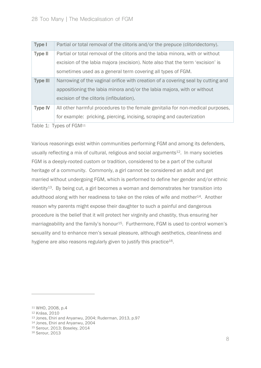| Type I          | Partial or total removal of the clitoris and/or the prepuce (clitoridectomy).    |  |
|-----------------|----------------------------------------------------------------------------------|--|
| <b>Type II</b>  | Partial or total removal of the clitoris and the labia minora, with or without   |  |
|                 | excision of the labia majora (excision). Note also that the term 'excision' is   |  |
|                 | sometimes used as a general term covering all types of FGM.                      |  |
| <b>Type III</b> | Narrowing of the vaginal orifice with creation of a covering seal by cutting and |  |
|                 | appositioning the labia minora and/or the labia majora, with or without          |  |
|                 | excision of the clitoris (infibulation).                                         |  |
| <b>Type IV</b>  | All other harmful procedures to the female genitalia for non-medical purposes,   |  |
|                 | for example: pricking, piercing, incising, scraping and cauterization            |  |
|                 |                                                                                  |  |

Table 1: Types of FGM<sup>11</sup>

Various reasonings exist within communities performing FGM and among its defenders, usually reflecting a mix of cultural, religious and social arguments<sup>12</sup>. In many societies FGM is a deeply-rooted custom or tradition, considered to be a part of the cultural heritage of a community. Commonly, a girl cannot be considered an adult and get married without undergoing FGM, which is performed to define her gender and/or ethnic  $identity<sup>13</sup>$ . By being cut, a girl becomes a woman and demonstrates her transition into adulthood along with her readiness to take on the roles of wife and mother<sup>14</sup>. Another reason why parents might expose their daughter to such a painful and dangerous procedure is the belief that it will protect her virginity and chastity, thus ensuring her marriageability and the family's honour<sup>15</sup>. Furthermore, FGM is used to control women's sexuality and to enhance men's sexual pleasure, although aesthetics, cleanliness and hygiene are also reasons regularly given to justify this practice<sup>16</sup>.

<sup>11</sup> WHO, 2008, p.4

<sup>12</sup> Krása, 2010

<sup>13</sup> Jones, Ehiri and Anyanwu, 2004; Ruderman, 2013, p.97

<sup>14</sup> Jones, Ehiri and Anyanwu, 2004

<sup>15</sup> Serour, 2013; Boseley, 2014

<sup>16</sup> Serour, 2013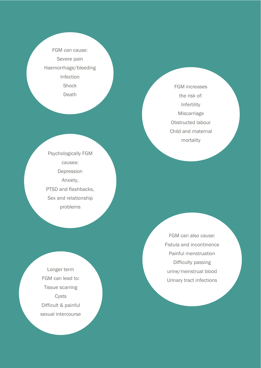FGM can cause: Severe pain Haemorrhage/bleeding Infection **Shock Death** 

Psychologically FGM causes: Depression Anxiety, PTSD and flashbacks, Sex and relationship problems

Longer term FGM can lead to: Tissue scarring Cysts Difficult & painful sexual intercourse

FGM increases the risk of: Infertility Miscarriage Obstructed labour Child and maternal mortality

FGM can also cause: Fistula and incontinence Painful menstruation Difficulty passing urine/menstrual blood Urinary tract infections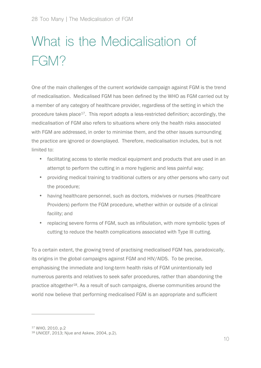# What is the Medicalisation of FGM?

One of the main challenges of the current worldwide campaign against FGM is the trend of medicalisation. Medicalised FGM has been defined by the WHO as FGM carried out by a member of any category of healthcare provider, regardless of the setting in which the procedure takes place<sup>17</sup>. This report adopts a less-restricted definition; accordingly, the medicalisation of FGM also refers to situations where only the health risks associated with FGM are addressed, in order to minimise them, and the other issues surrounding the practice are ignored or downplayed. Therefore, medicalisation includes, but is not limited to:

- facilitating access to sterile medical equipment and products that are used in an attempt to perform the cutting in a more hygienic and less painful way;
- providing medical training to traditional cutters or any other persons who carry out the procedure;
- having healthcare personnel, such as doctors, midwives or nurses (Healthcare Providers) perform the FGM procedure, whether within or outside of a clinical facility; and
- replacing severe forms of FGM, such as infibulation, with more symbolic types of cutting to reduce the health complications associated with Type III cutting.

To a certain extent, the growing trend of practising medicalised FGM has, paradoxically, its origins in the global campaigns against FGM and HIV/AIDS. To be precise, emphasising the immediate and long-term health risks of FGM unintentionally led numerous parents and relatives to seek safer procedures, rather than abandoning the practice altogether<sup>18</sup>. As a result of such campaigns, diverse communities around the world now believe that performing medicalised FGM is an appropriate and sufficient

<sup>17</sup> WHO, 2010, p.2

<sup>18</sup> UNICEF, 2013; Njue and Askew, 2004, p.2).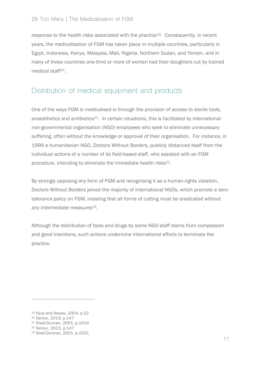response to the health risks associated with the practice<sup>19</sup>. Consequently, in recent years, the medicalisation of FGM has taken place in multiple countries, particularly in Egypt, Indonesia, Kenya, Malaysia, Mali, Nigeria, Northern Sudan, and Yemen, and in many of these countries one-third or more of women had their daughters cut by trained medical staff<sup>20</sup>.

#### Distribution of medical equipment and products

One of the ways FGM is medicalised is through the provision of access to sterile tools, anaesthetics and antibiotics $21$ . In certain situations, this is facilitated by international non-governmental organisation (NGO) employees who seek to eliminate unnecessary suffering, often without the knowledge or approval of their organisation. For instance, in 1999 a humanitarian NGO, Doctors Without Borders, publicly distanced itself from the individual actions of a number of its field-based staff, who assisted with an FGM procedure, intending to eliminate the immediate health risks<sup>22</sup>.

By strongly opposing any form of FGM and recognising it as a human-rights violation, Doctors Without Borders joined the majority of international NGOs, which promote a zerotolerance policy on FGM, insisting that all forms of cutting must be eradicated without any intermediate measures<sup>23</sup>.

Although the distribution of tools and drugs by some NGO staff stems from compassion and good intentions, such actions undermine international efforts to terminate the practice.

<sup>19</sup> Njue and Askew, 2004, p.22

<sup>20</sup> Serour, 2013, p.147

<sup>21</sup> Shell-Duncan, 2001, p.1014

<sup>22</sup> Serour, 2013, p.147

<sup>23</sup> Shell-Duncan, 2001, p.1021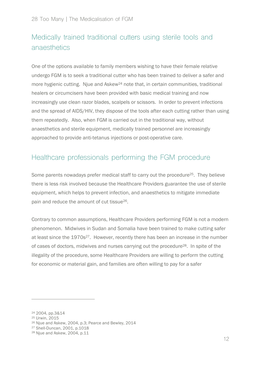#### Medically trained traditional cutters using sterile tools and anaesthetics

One of the options available to family members wishing to have their female relative undergo FGM is to seek a traditional cutter who has been trained to deliver a safer and more hygienic cutting. Njue and Askew<sup>24</sup> note that, in certain communities, traditional healers or circumcisers have been provided with basic medical training and now increasingly use clean razor blades, scalpels or scissors. In order to prevent infections and the spread of AIDS/HIV, they dispose of the tools after each cutting rather than using them repeatedly. Also, when FGM is carried out in the traditional way, without anaesthetics and sterile equipment, medically trained personnel are increasingly approached to provide anti-tetanus injections or post-operative care.

#### Healthcare professionals performing the FGM procedure

Some parents nowadays prefer medical staff to carry out the procedure<sup>25</sup>. They believe there is less risk involved because the Healthcare Providers guarantee the use of sterile equipment, which helps to prevent infection, and anaesthetics to mitigate immediate pain and reduce the amount of cut tissue26.

Contrary to common assumptions, Healthcare Providers performing FGM is not a modern phenomenon. Midwives in Sudan and Somalia have been trained to make cutting safer at least since the 1970s<sup>27</sup>. However, recently there has been an increase in the number of cases of doctors, midwives and nurses carrying out the procedure<sup>28</sup>. In spite of the illegality of the procedure, some Healthcare Providers are willing to perform the cutting for economic or material gain, and families are often willing to pay for a safer

<sup>24</sup> 2004, pp.3&14

<sup>25</sup> Urwin, 2015

<sup>26</sup> Njue and Askew, 2004, p.3; Pearce and Bewley, 2014

<sup>27</sup> Shell-Duncan, 2001, p.1018

<sup>28</sup> Njue and Askew, 2004, p.11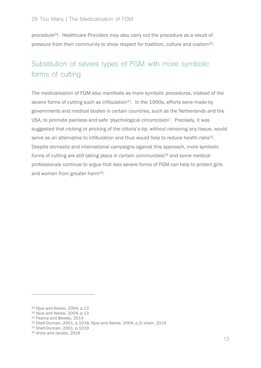procedure29. Healthcare Providers may also carry out the procedure as a result of pressure from their community to show respect for tradition, culture and custom<sup>30</sup>.

#### Substitution of severe types of FGM with more symbolic forms of cutting

The medicalisation of FGM also manifests as more symbolic procedures, instead of the severe forms of cutting such as infibulation<sup>31</sup>. In the 1990s, efforts were made by governments and medical bodies in certain countries, such as the Netherlands and the USA, to promote painless and safe 'psychological circumcision'. Precisely, it was suggested that nicking or pricking of the clitoris's tip, without removing any tissue, would serve as an alternative to infibulation and thus would help to reduce health risks<sup>32</sup>. Despite domestic and international campaigns against this approach, more symbolic forms of cutting are still taking place in certain communities<sup>33</sup> and some medical professionals continue to argue that less severe forms of FGM can help to protect girls and women from greater harm34.

<sup>29</sup> Njue and Askew, 2004, p.13

<sup>30</sup> Njue and Askew, 2004, p.13

<sup>31</sup> Pearce and Bewley, 2014

<sup>32</sup> Shell-Duncan, 2001, p.1018; Njue and Askew, 2004, p.3; Urwin, 2015

<sup>33</sup> Shell-Duncan, 2001, p.1019

<sup>34</sup> Arora and Jacobs, 2016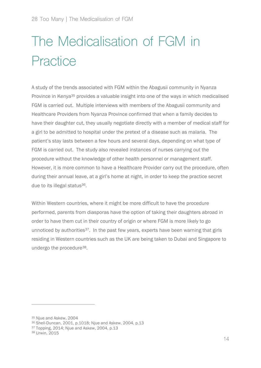# The Medicalisation of FGM in **Practice**

A study of the trends associated with FGM within the Abagusii community in Nyanza Province in Kenya<sup>35</sup> provides a valuable insight into one of the ways in which medicalised FGM is carried out. Multiple interviews with members of the Abagusii community and Healthcare Providers from Nyanza Province confirmed that when a family decides to have their daughter cut, they usually negotiate directly with a member of medical staff for a girl to be admitted to hospital under the pretext of a disease such as malaria. The patient's stay lasts between a few hours and several days, depending on what type of FGM is carried out. The study also revealed instances of nurses carrying out the procedure without the knowledge of other health personnel or management staff. However, it is more common to have a Healthcare Provider carry out the procedure, often during their annual leave, at a girl's home at night, in order to keep the practice secret due to its illegal status<sup>36</sup>.

Within Western countries, where it might be more difficult to have the procedure performed, parents from diasporas have the option of taking their daughters abroad in order to have them cut in their country of origin or where FGM is more likely to go unnoticed by authorities<sup>37</sup>. In the past few years, experts have been warning that girls residing in Western countries such as the UK are being taken to Dubai and Singapore to undergo the procedure38.

<sup>35</sup> Njue and Askew, 2004

<sup>36</sup> Shell-Duncan, 2001, p.1018; Njue and Askew, 2004, p.13

<sup>37</sup> Topping, 2014; Njue and Askew, 2004, p.13

<sup>38</sup> Urwin, 2015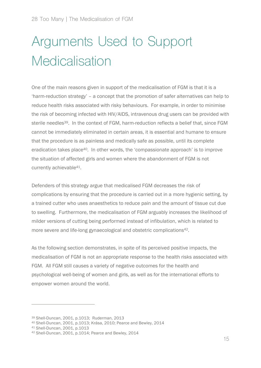# Arguments Used to Support **Medicalisation**

One of the main reasons given in support of the medicalisation of FGM is that it is a 'harm-reduction strategy' – a concept that the promotion of safer alternatives can help to reduce health risks associated with risky behaviours. For example, in order to minimise the risk of becoming infected with HIV/AIDS, intravenous drug users can be provided with sterile needles<sup>39</sup>. In the context of FGM, harm-reduction reflects a belief that, since FGM cannot be immediately eliminated in certain areas, it is essential and humane to ensure that the procedure is as painless and medically safe as possible, until its complete eradication takes place<sup>40</sup>. In other words, the 'compassionate approach' is to improve the situation of affected girls and women where the abandonment of FGM is not currently achievable<sup>41</sup>.

Defenders of this strategy argue that medicalised FGM decreases the risk of complications by ensuring that the procedure is carried out in a more hygienic setting, by a trained cutter who uses anaesthetics to reduce pain and the amount of tissue cut due to swelling. Furthermore, the medicalisation of FGM arguably increases the likelihood of milder versions of cutting being performed instead of infibulation, which is related to more severe and life-long gynaecological and obstetric complications<sup>42</sup>.

As the following section demonstrates, in spite of its perceived positive impacts, the medicalisation of FGM is not an appropriate response to the health risks associated with FGM. All FGM still causes a variety of negative outcomes for the health and psychological well-being of women and girls, as well as for the international efforts to empower women around the world.

<sup>39</sup> Shell-Duncan, 2001, p.1013; Ruderman, 2013

<sup>40</sup> Shell-Duncan, 2001, p.1013; Krása, 2010; Pearce and Bewley, 2014

<sup>41</sup> Shell-Duncan, 2001, p.1013

<sup>42</sup> Shell-Duncan, 2001, p.1014; Pearce and Bewley, 2014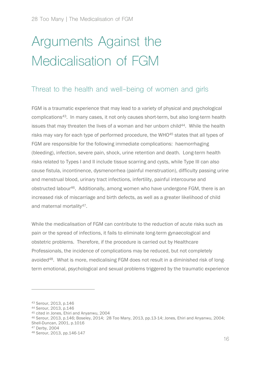# Arguments Against the Medicalisation of FGM

#### Threat to the health and well-being of women and girls

FGM is a traumatic experience that may lead to a variety of physical and psychological complications43. In many cases, it not only causes short-term, but also long-term health issues that may threaten the lives of a woman and her unborn child<sup>44</sup>. While the health risks may vary for each type of performed procedure, the WHO<sup>45</sup> states that all types of FGM are responsible for the following immediate complications: haemorrhaging (bleeding), infection, severe pain, shock, urine retention and death. Long-term health risks related to Types I and II include tissue scarring and cysts, while Type III can also cause fistula, incontinence, dysmenorrhea (painful menstruation), difficulty passing urine and menstrual blood, urinary tract infections, infertility, painful intercourse and obstructed labour46. Additionally, among women who have undergone FGM, there is an increased risk of miscarriage and birth defects, as well as a greater likelihood of child and maternal mortality<sup>47</sup>.

While the medicalisation of FGM can contribute to the reduction of acute risks such as pain or the spread of infections, it fails to eliminate long-term gynaecological and obstetric problems. Therefore, if the procedure is carried out by Healthcare Professionals, the incidence of complications may be reduced, but not completely avoided<sup>48</sup>. What is more, medicalising FGM does not result in a diminished risk of longterm emotional, psychological and sexual problems triggered by the traumatic experience

<sup>43</sup> Serour, 2013, p.146

<sup>44</sup> Serour, 2013, p.146

<sup>45</sup> cited in Jones, Ehiri and Anyanwu, 2004

<sup>46</sup> Serour, 2013, p.146; Boseley, 2014; 28 Too Many, 2013, pp.13-14; Jones, Ehiri and Anyanwu, 2004; Shell-Duncan, 2001, p.1016

<sup>47</sup> Derby, 2004

<sup>48</sup> Serour, 2013, pp.146-147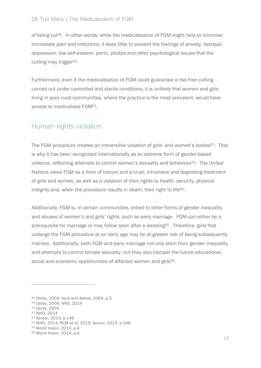#### 28 Too Many | The Medicalisation of FGM

of being cut49. In other words, while the medicalisation of FGM might help to minimise immediate pain and infections, it does little to prevent the feelings of anxiety, betrayal, depression, low self-esteem, panic, phobia and other psychological issues that the cutting may trigger<sup>50</sup>.

Furthermore, even if the medicalisation of FGM could guarantee a risk-free cutting carried out under controlled and sterile conditions, it is unlikely that women and girls living in poor rural communities, where the practice is the most prevalent, would have access to medicalised FGM51.

#### Human rights violation

The FGM procedure creates an irreversible violation of girls' and women's bodies<sup>52</sup>. That is why it has been recognised internationally as an extreme form of gender-based violence, reflecting attempts to control women's sexuality and behaviour<sup>53</sup>. The United Nations views FGM as a form of torture and a cruel, inhumane and degrading treatment of girls and women, as well as a violation of their rights to health, security, physical integrity and, when the procedure results in death, their right to life54.

Additionally, FGM is, in certain communities, linked to other forms of gender inequality and abuses of women's and girls' rights, such as early marriage. FGM can either be a prerequisite for marriage or may follow soon after a wedding<sup>55</sup>. Therefore, girls that undergo the FGM procedure at an early age may be at greater risk of being subsequently married. Additionally, both FGM and early marriage not only stem from gender inequality and attempts to control female sexuality, but they also hamper the future educational, social and economic opportunities of affected women and girls<sup>56</sup>.

<sup>49</sup> Derby, 2004; Njue and Askew, 2004, p.3

<sup>50</sup> Derby, 2004; NHS, 2014

<sup>51</sup> Derby, 2004

<sup>52</sup> WHO, 2014

<sup>53</sup> Serour, 2013, p.146

<sup>54</sup> WHO, 2014; RCM *et al*, 2013; Serour, 2013, p.148

<sup>55</sup> World Vision, 2014, p.4

<sup>56</sup> World Vision, 2014, p.4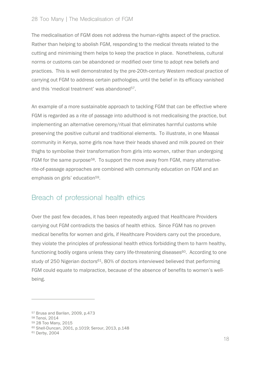#### 28 Too Many | The Medicalisation of FGM

The medicalisation of FGM does not address the human-rights aspect of the practice. Rather than helping to abolish FGM, responding to the medical threats related to the cutting and minimising them helps to keep the practice in place. Nonetheless, cultural norms or customs can be abandoned or modified over time to adopt new beliefs and practices. This is well demonstrated by the pre-20th-century Western medical practice of carrying out FGM to address certain pathologies, until the belief in its efficacy vanished and this 'medical treatment' was abandoned<sup>57</sup>.

An example of a more sustainable approach to tackling FGM that can be effective where FGM is regarded as a rite of passage into adulthood is not medicalising the practice, but implementing an alternative ceremony/ritual that eliminates harmful customs while preserving the positive cultural and traditional elements. To illustrate, in one Maasai community in Kenya, some girls now have their heads shaved and milk poured on their thighs to symbolise their transformation from girls into women, rather than undergoing FGM for the same purpose<sup>58</sup>. To support the move away from FGM, many alternativerite-of-passage approaches are combined with community education on FGM and an emphasis on girls' education<sup>59</sup>.

#### Breach of professional health ethics

Over the past few decades, it has been repeatedly argued that Healthcare Providers carrying out FGM contradicts the basics of health ethics. Since FGM has no proven medical benefits for women and girls, if Healthcare Providers carry out the procedure, they violate the principles of professional health ethics forbidding them to harm healthy, functioning bodily organs unless they carry life-threatening diseases<sup>60</sup>. According to one study of 250 Nigerian doctors<sup>61</sup>, 80% of doctors interviewed believed that performing FGM could equate to malpractice, because of the absence of benefits to women's wellbeing.

<sup>57</sup> Brusa and Barilan, 2009, p.473

<sup>58</sup> Tenoi, 2014

<sup>59</sup> 28 Too Many, 2015

<sup>60</sup> Shell-Duncan, 2001, p.1019; Serour, 2013, p.148

<sup>61</sup> Derby, 2004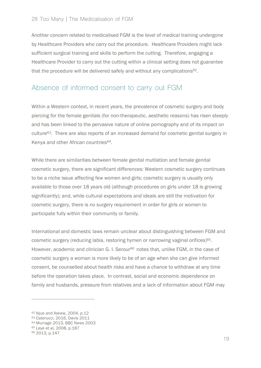Another concern related to medicalised FGM is the level of medical training undergone by Healthcare Providers who carry out the procedure. Healthcare Providers might lack sufficient surgical training and skills to perform the cutting. Therefore, engaging a Healthcare Provider to carry out the cutting within a clinical setting does not guarantee that the procedure will be delivered safely and without any complications<sup>62</sup>.

#### Absence of informed consent to carry out FGM

Within a Western context, in recent years, the prevalence of cosmetic surgery and body piercing for the female genitals (for non-therapeutic, aesthetic reasons) has risen steeply and has been linked to the pervasive nature of online pornography and of its impact on culture63. There are also reports of an increased demand for cosmetic genital surgery in Kenya and other African countries<sup>64</sup>.

While there are similarities between female genital mutilation and female genital cosmetic surgery, there are significant differences: Western cosmetic surgery continues to be a niche issue affecting few women and girls; cosmetic surgery is usually only available to those over 18 years old (although procedures on girls under 18 is growing significantly); and, while cultural expectations and ideals are still the motivation for cosmetic surgery, there is no surgery requirement in order for girls or women to participate fully within their community or family.

International and domestic laws remain unclear about distinguishing between FGM and cosmetic surgery (reducing labia, restoring hymen or narrowing vaginal orifices)<sup>65</sup>. However, academic and clinician G. I. Serour<sup>66</sup> notes that, unlike FGM, in the case of cosmetic surgery a woman is more likely to be of an age when she can give informed consent, be counselled about health risks and have a chance to withdraw at any time before the operation takes place. In contrast, social and economic dependence on family and husbands, pressure from relatives and a lack of information about FGM may

<sup>62</sup> Njue and Askew, 2004, p.12

<sup>63</sup> Caterucci, 2016, Davis 2011

<sup>64</sup> Murrage 2013, BBC News 2003

<sup>65</sup> Leye et al, 2008, p.187

<sup>66</sup> 2013, p.147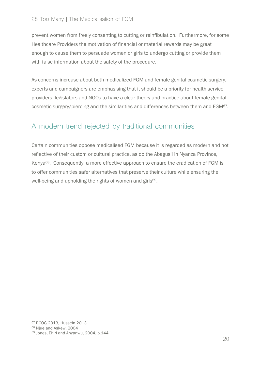#### 28 Too Many | The Medicalisation of FGM

prevent women from freely consenting to cutting or reinfibulation. Furthermore, for some Healthcare Providers the motivation of financial or material rewards may be great enough to cause them to persuade women or girls to undergo cutting or provide them with false information about the safety of the procedure.

As concerns increase about both medicalized FGM and female genital cosmetic surgery, experts and campaigners are emphasising that it should be a priority for health service providers, legislators and NGOs to have a clear theory and practice about female genital cosmetic surgery/piercing and the similarities and differences between them and FGM67.

#### A modern trend rejected by traditional communities

Certain communities oppose medicalised FGM because it is regarded as modern and not reflective of their custom or cultural practice, as do the Abagusii in Nyanza Province, Kenya<sup>68</sup>. Consequently, a more effective approach to ensure the eradication of FGM is to offer communities safer alternatives that preserve their culture while ensuring the well-being and upholding the rights of women and girls<sup>69</sup>.

<sup>67</sup> RCOG 2013, Hussein 2013

<sup>68</sup> Njue and Askew, 2004

<sup>69</sup> Jones, Ehiri and Anyanwu, 2004, p.144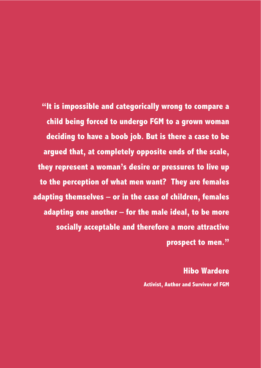**"It is impossible and categorically wrong to compare a child being forced to undergo FGM to a grown woman deciding to have a boob job. But is there a case to be argued that, at completely opposite ends of the scale, they represent a woman's desire or pressures to live up to the perception of what men want? They are females adapting themselves – or in the case of children, females adapting one another – for the male ideal, to be more socially acceptable and therefore a more attractive prospect to men."**

> **Hibo Wardere Activist, Author and Survivor of FGM**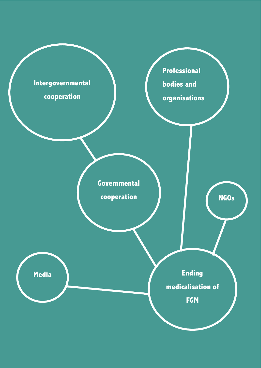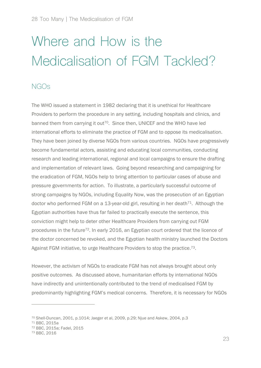# Where and How is the Medicalisation of FGM Tackled?

#### NGOs

The WHO issued a statement in 1982 declaring that it is unethical for Healthcare Providers to perform the procedure in any setting, including hospitals and clinics, and banned them from carrying it out<sup>70</sup>. Since then, UNICEF and the WHO have led international efforts to eliminate the practice of FGM and to oppose its medicalisation. They have been joined by diverse NGOs from various countries. NGOs have progressively become fundamental actors, assisting and educating local communities, conducting research and leading international, regional and local campaigns to ensure the drafting and implementation of relevant laws. Going beyond researching and campaigning for the eradication of FGM, NGOs help to bring attention to particular cases of abuse and pressure governments for action. To illustrate, a particularly successful outcome of strong campaigns by NGOs, including Equality Now, was the prosecution of an Egyptian doctor who performed FGM on a 13-year-old girl, resulting in her death<sup> $71$ </sup>. Although the Egyptian authorities have thus far failed to practically execute the sentence, this conviction might help to deter other Healthcare Providers from carrying out FGM procedures in the future<sup>72</sup>. In early 2016, an Egyptian court ordered that the licence of the doctor concerned be revoked, and the Egyptian health ministry launched the Doctors Against FGM initiative, to urge Healthcare Providers to stop the practice.73.

However, the activism of NGOs to eradicate FGM has not always brought about only positive outcomes. As discussed above, humanitarian efforts by international NGOs have indirectly and unintentionally contributed to the trend of medicalised FGM by predominantly highlighting FGM's medical concerns. Therefore, it is necessary for NGOs

<sup>70</sup> Shell-Duncan, 2001, p.1014; Jaeger et al, 2009, p.29; Njue and Askew, 2004, p.3

<sup>71</sup> BBC, 2015a

<sup>72</sup> BBC, 2015a; Fadel, 2015

<sup>73</sup> BBC, 2016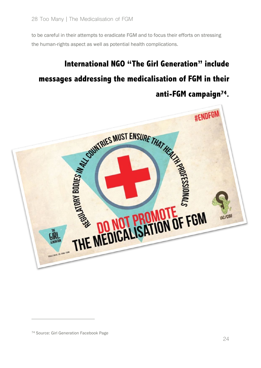to be careful in their attempts to eradicate FGM and to focus their efforts on stressing the human-rights aspect as well as potential health complications.

### **International NGO "The Girl Generation" include messages addressing the medicalisation of FGM in their anti-FGM campaign74.**



<sup>74</sup> Source: Girl Generation Facebook Page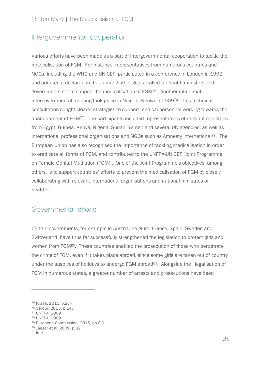#### Intergovernmental cooperation

Various efforts have been made as a part of intergovernmental cooperation to tackle the medicalisation of FGM. For instance, representatives from numerous countries and NGOs, including the WHO and UNICEF, participated in a conference in London in 1992 and adopted a declaration that, among other goals, called for health ministers and governments not to support the medicalisation of FGM75. Another influential intergovernmental meeting took place in Nairobi, Kenya in 200976. This technical consultation sought clearer strategies to support medical personnel working towards the abandonment of FGM77. The participants included representatives of relevant ministries from Egypt, Guinea, Kenya, Nigeria, Sudan, Yemen and several UN agencies, as well as international professional organisations and NGOs such as Amnesty International<sup>78</sup>. The European Union has also recognised the importance of tackling medicalisation in order to eradicate all forms of FGM, and contributed to the UNFPA-UNICEF 'Joint Programme on Female Genital Mutilation (FGM)'. One of the Joint Programme's objectives, among others, is to support countries' efforts to prevent the medicalisation of FGM by closely collaborating with relevant international organisations and national ministries of health79.

#### Governmental efforts

Certain governments, for example in Austria, Belgium, France, Spain, Sweden and Switzerland, have thus far successfully strengthened the legislation to protect girls and women from FGM<sup>80</sup>. These countries enabled the prosecution of those who perpetrate the crime of FGM, even if it takes place abroad, since some girls are taken out of country under the auspices of holidays to undergo FGM abroad<sup>81</sup>. Alongside the illegalisation of FGM in numerous states, a greater number of arrests and prosecutions have been

<sup>75</sup> Krása, 2010, p.277

<sup>76</sup> Serour, 2013, p.147

<sup>77</sup> UNFPA, 2009

<sup>78</sup> UNFPA, 2009

<sup>79</sup> European Commission, 2015, pp.8-9

<sup>80</sup> Jaeger et al, 2009, p.32

 $81$  Ibid.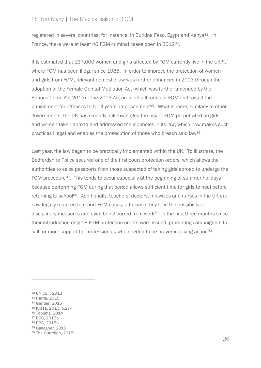registered in several countries; for instance, in Burkina Faso, Egypt and Kenya<sup>82</sup>. In France, there were at least 40 FGM criminal cases open in 201283.

It is estimated that 137,000 women and girls affected by FGM currently live in the UK<sup>84</sup>, where FGM has been illegal since 1985. In order to improve the protection of women and girls from FGM, relevant domestic law was further enhanced in 2003 through the adoption of the Female Genital Mutilation Act (which was further amended by the Serious Crime Act 2015). The 2003 Act prohibits all forms of FGM and raised the punishment for offences to 5-14 years' imprisonment<sup>85</sup>. What is more, similarly to other governments, the UK has recently acknowledged the risk of FGM perpetrated on girls and women taken abroad and addressed the loopholes in its law, which now makes such practices illegal and enables the prosecution of those who breach said law<sup>86</sup>.

Last year, the law began to be practically implemented within the UK. To illustrate, the Bedfordshire Police secured one of the first court protection orders, which allows the authorities to seize passports from those suspected of taking girls abroad to undergo the FGM procedure87. This tends to occur especially at the beginning of summer holidays because performing FGM during that period allows sufficient time for girls to heal before returning to school<sup>88</sup>. Additionally, teachers, doctors, midwives and nurses in the UK are now legally required to report FGM cases, otherwise they face the possibility of disciplinary measures and even being barred from work<sup>89</sup>. In the first three months since their introduction only 18 FGM protection orders were issued, prompting campaigners to call for more support for professionals who needed to be braver in taking action<sup>90</sup>.

 $\overline{a}$ 

<sup>88</sup> BBC, 2015b

<sup>82</sup> UNICEF, 2013

<sup>83</sup> Harris, 2015

<sup>84</sup> Gander, 2015

<sup>85</sup> Krása, 2010, p.274

<sup>86</sup> Topping, 2014

<sup>87</sup> BBC, 2015b

<sup>89</sup> Gallagher, 2015

<sup>90</sup> The Guardian, 2015)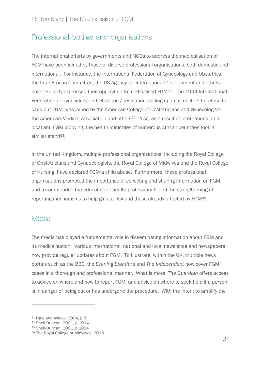#### Professional bodies and organisations

The international efforts by governments and NGOs to address the medicalisation of FGM have been joined by those of diverse professional organisations, both domestic and international. For instance, the International Federation of Gynecology and Obstetrics, the Inter-African Committee, the US Agency for International Development and others have explicitly expressed their opposition to medicalised FGM<sup>91</sup>. The 1994 International Federation of Gynecology and Obstetrics' resolution, calling upon all doctors to refuse to carry out FGM, was joined by the American College of Obstetricians and Gynecologists, the American Medical Association and others<sup>92</sup>. Also, as a result of international and local anti-FGM lobbying, the health ministries of numerous African countries took a similar stand<sup>93</sup>.

In the United Kingdom, multiple professional organisations, including the Royal College of Obstetricians and Gynaecologists, the Royal College of Midwives and the Royal College of Nursing, have declared FGM a child abuse. Furthermore, these professional organisations promoted the importance of collecting and sharing information on FGM, and recommended the education of health professionals and the strengthening of reporting mechanisms to help girls at risk and those already affected by FGM94.

#### Media

 $\overline{a}$ 

The media has played a fundamental role in disseminating information about FGM and its medicalisation. Various international, national and local news sites and newspapers now provide regular updates about FGM. To illustrate, within the UK, multiple news portals such as the BBC, the *Evening Standard* and *The Independent* now cover FGM cases in a thorough and professional manner. What is more, *The Guardian* offers access to advice on where and how to report FGM, and advice on where to seek help if a person is in danger of being cut or has undergone the procedure. With the intent to amplify the

<sup>91</sup> Njue and Askew, 2004, p.3

<sup>92</sup> Shell-Duncan, 2001, p.1014

<sup>93</sup> Shell-Duncan, 2001, p.1014

<sup>94</sup> The Royal College of Midwives, 2015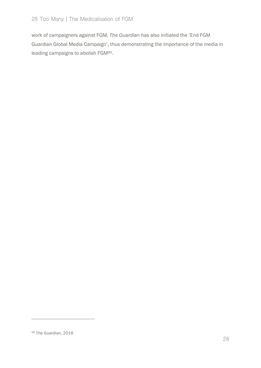work of campaigners against FGM, *The Guardian* has also initiated the 'End FGM Guardian Global Media Campaign', thus demonstrating the importance of the media in leading campaigns to abolish FGM95.

<sup>95</sup> The Guardian, 2016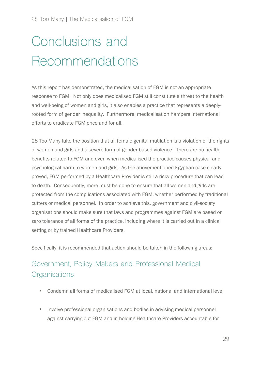# Conclusions and Recommendations

As this report has demonstrated, the medicalisation of FGM is not an appropriate response to FGM. Not only does medicalised FGM still constitute a threat to the health and well-being of women and girls, it also enables a practice that represents a deeplyrooted form of gender inequality. Furthermore, medicalisation hampers international efforts to eradicate FGM once and for all.

28 Too Many take the position that all female genital mutilation is a violation of the rights of women and girls and a severe form of gender-based violence. There are no health benefits related to FGM and even when medicalised the practice causes physical and psychological harm to women and girls. As the abovementioned Egyptian case clearly proved, FGM performed by a Healthcare Provider is still a risky procedure that can lead to death. Consequently, more must be done to ensure that all women and girls are protected from the complications associated with FGM, whether performed by traditional cutters or medical personnel. In order to achieve this, government and civil-society organisations should make sure that laws and programmes against FGM are based on zero tolerance of all forms of the practice, including where it is carried out in a clinical setting or by trained Healthcare Providers.

Specifically, it is recommended that action should be taken in the following areas:

#### Government, Policy Makers and Professional Medical **Organisations**

- Condemn all forms of medicalised FGM at local, national and international level.
- Involve professional organisations and bodies in advising medical personnel against carrying out FGM and in holding Healthcare Providers accountable for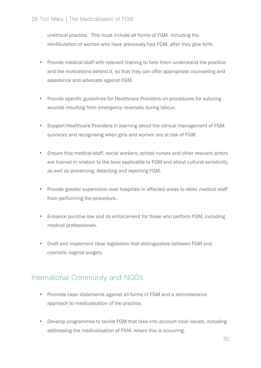unethical practice. This must include all forms of FGM, including the reinfibulation of women who have previously had FGM, after they give birth.

- Provide medical staff with relevant training to help them understand the practice and the motivations behind it, so that they can offer appropriate counselling and assistance and advocate against FGM.
- Provide specific guidelines for Healthcare Providers on procedures for suturing wounds resulting from emergency reversals during labour.
- Support Healthcare Providers in learning about the clinical management of FGM survivors and recognising when girls and women are at risk of FGM.
- Ensure that medical staff, social workers, school nurses and other relevant actors are trained in relation to the laws applicable to FGM and about cultural sensitivity, as well as preventing, detecting and reporting FGM.
- Provide greater supervision over hospitals in affected areas to deter medical staff from performing the procedure.
- Enhance punitive law and its enforcement for those who perform FGM, including medical professionals.
- Draft and implement clear legislation that distinguishes between FGM and cosmetic vaginal surgery.

#### International Community and NGOs

- Promote clear statements against all forms of FGM and a zero-tolerance approach to medicalisation of the practice.
- Develop programmes to tackle FGM that take into account local issues, including addressing the medicalisation of FGM, where this is occurring.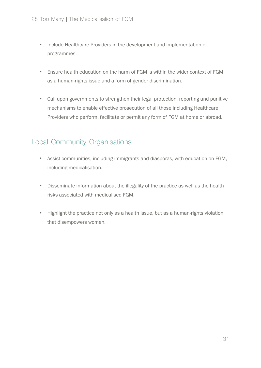- Include Healthcare Providers in the development and implementation of programmes.
- Ensure health education on the harm of FGM is within the wider context of FGM as a human-rights issue and a form of gender discrimination.
- Call upon governments to strengthen their legal protection, reporting and punitive mechanisms to enable effective prosecution of all those including Healthcare Providers who perform, facilitate or permit any form of FGM at home or abroad.

#### Local Community Organisations

- Assist communities, including immigrants and diasporas, with education on FGM, including medicalisation.
- Disseminate information about the illegality of the practice as well as the health risks associated with medicalised FGM.
- Highlight the practice not only as a health issue, but as a human-rights violation that disempowers women.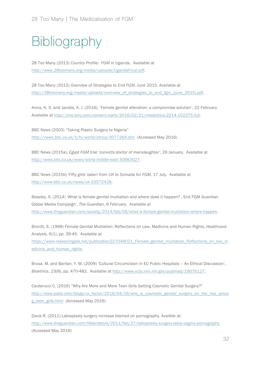## **Bibliography**

28 Too Many (2013) *Country Profile: FGM in Uganda*. Available at http://www.28toomany.org/media/uploads/UgandaFinal.pdf.

28 Too Many (2015) *Overview of Strategies to End FGM*, June 2015. Available at http://28toomany.org/media/uploads/overview\_of\_strategies\_to\_end\_fgm\_(june\_2015).pdf.

Arora, K. S. and Jacobs, A. J. (2016), 'Female genital alteration: a compromise solution', 22 February. Available at http://jme.bmj.com/content/early/2016/02/21/medethics-2014-102375.full.

BBC News (2003) "Taking Plastic Surgery to Nigeria" http://news.bbc.co.uk/1/hi/world/africa/3077264.stm (Accessed May 2016)

BBC News (2015a), *Egypt FGM trial 'convicts doctor of manslaughter'*, 26 January. Available at http://www.bbc.co.uk/news/world-middle-east-30983027.

BBC News (2015b) *'Fifty girls' taken from UK to Somalia for FGM*, 17 July. Available at http://www.bbc.co.uk/news/uk-33572428.

Boseley, S. (2014) 'What is female genital mutilation and where does it happen? , End FGM Guardian Global Media Campaign', *The Guardian*, 6 February. Available at http://www.theguardian.com/society/2014/feb/06/what-is-female-genital-mutilation-where-happen.

Bronitt, S. (1998) Female Genital Mutilation: Reflections on Law, Medicine and Human Rights, *Healthcare Analysis*, 6(1), pp. 39-45. Available at

https://www.researchgate.net/publication227048021\_Female\_genital\_mutilation\_Reflections\_on\_law\_m edicine and human rights.

Brusa, M. and Barilan, Y. M. (2009) 'Cultural Circumcision in EU Public Hospitals – An Ethical Discussion', *Bioethics*, 23(8), pp. 470-482. Available at http://www.ncbi.nlm.nih.gov/pubmed/19076127.

Cauterucci C. (2016) "Why Are More and More Teen Girls Getting Cosmetic Genital Surgery?" http://www.slate.com/blogs/xx\_factor/2016/04/26/why\_is\_cosmetic\_genital\_surgery\_on\_the\_rise\_amon g\_teen\_girls.html (Accessed May 2016)

Davis R. (2011) Labiaplasty surgery increase blamed on pornography. Availble at: http://www.theguardian.com/lifeandstyle/2011/feb/27/labiaplasty-surgery-labia-vagina-pornography (Accessed May 2016)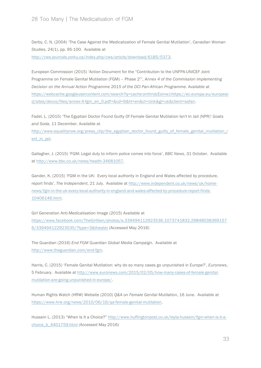Derby, C. N. (2004) 'The Case Against the Medicalization of Female Genital Mutilation', *Canadian Woman Studies*, 24(1), pp. 95-100. Available at http://cws.journals.yorku.ca/index.php/cws/article/download/6185/5373.

European Commission (2015) 'Action Document for the "Contribution to the UNFPA-UNICEF Joint Programme on Female Genital Mutilation (FGM) – Phase 2"'*, Annex 4 of the Commission implementing Decision on the Annual Action Programme 2015 of the DCI Pan-African Programme*. Available at https://webcache.googleusercontent.com/search?q=cache:onthndzEsmwJ:https://ec.europa.eu/europeai d/sites/devco/files/annex-4-fgm\_en\_0.pdf+&cd=6&hl=en&ct=clnk&gl=uk&client=safari.

Fadel, L. (2015) 'The Egyptian Doctor Found Guilty Of Female Genital Mutilation Isn't In Jail (NPR)' *Goats and Soda*, 11 December. Available at

http://www.equalitynow.org/press\_clip/the\_egyptian\_doctor\_found\_guilty\_of\_female\_genital\_mutilation\_i snt\_in\_jail.

Gallagher, J. (2015) 'FGM: Legal duty to inform police comes into force', *BBC News*, 31 October. Available at http://www.bbc.co.uk/news/health-34681057.

Gander, K. (2015) 'FGM in the UK: Every local authority in England and Wales affected by procedure, report finds', *The Independent*, 21 July. Available at http://www.independent.co.uk/news/uk/homenews/fgm-in-the-uk-every-local-authority-in-england-and-wales-affected-by-procedure-report-finds-10406146.html.

Girl Generation Anti-Medicalisation Image (2015) Available at https://www.facebook.com/TheGirlGen/photos/a.339494112923536.1073741832.29848038369157 6/339494122923535/?type=3&theater (Accessed May 2016)

The Guardian (2016) *End FGM Guardian Global Media Campaign.* Available at http://www.theguardian.com/end-fgm.

Harris, C. (2015) 'Female Genital Mutilation: why do so many cases go unpunished in Europe?', *Euronews*, 5 February. Available at http://www.euronews.com/2015/02/05/how-many-cases-of-female-genitalmutilation-are-going-unpunished-in-europe/.

Human Rights Watch (HRW) Website (2010) *Q&A on Female Genital Mutilation*, 16 June. Available at https://www.hrw.org/news/2010/06/16/qa-female-genital-mutilation.

Hussein L. (2013) "When Is It a Choice?" http://www.huffingtonpost.co.uk/leyla-hussein/fgm-when-is-it-achoice\_b\_4401759.html (Accessed May 2016)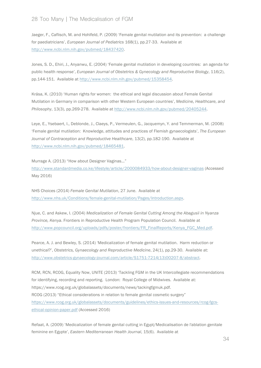Jaeger, F., Caflisch, M. and Hohlfeld, P. (2009) 'Female genital mutilation and its prevention: a challenge for paediatricians', *European Journal of Pediatrics* 168(1), pp.27-33. Available at http://www.ncbi.nlm.nih.gov/pubmed/18437420.

Jones, S. D., Ehiri, J., Anyanwu, E. (2004) 'Female genital mutilation in developing countries: an agenda for public health response', *European Journal of Obstetrics & Gynecology and Reproductive Biology*, 116(2), pp.144-151. Available at http://www.ncbi.nlm.nih.gov/pubmed/15358454.

Krása, K. (2010) 'Human rights for women: the ethical and legal discussion about Female Genital Mutilation in Germany in comparison with other Western European countries', *Medicine, Healthcare, and Philosophy*, 13(3), pp.269-278. Available at http://www.ncbi.nlm.nih.gov/pubmed/20405244.

Leye, E., Ysebaert, I., Deblonde, J., Claeys, P., Vermeulen, G., Jacquemyn, Y. and Temmerman, M. (2008) 'Female genital mutilation: Knowledge, attitudes and practices of Flemish gynaecologists', *The European Journal of Contraception and Reproductive Healthcare*, 13(2), pp.182-190. Available at http://www.ncbi.nlm.nih.gov/pubmed/18465481.

Murrage A. (2013) "How about Designer Vaginas…"

http://www.standardmedia.co.ke/lifestyle/article/2000084933/how-about-designer-vaginas (Accessed May 2016)

NHS Choices (2014) *Female Genital Mutilation*, 27 June. Available at http://www.nhs.uk/Conditions/female-genital-mutilation/Pages/Introduction.aspx.

Njue, C. and Askew, I. (2004) *Medicalization of Female Genital Cutting Among the Abagusii in Nyanza Province, Kenya*. Frontiers in Reproductive Health Program Population Council. Available at http://www.popcouncil.org/uploads/pdfs/poster/frontiers/FR\_FinalReports/Kenya\_FGC\_Med.pdf.

Pearce, A. J. and Bewley, S. (2014) 'Medicalization of female genital mutilation. Harm reduction or unethical?', *Obstetrics, Gynaecology and Reproductive Medicine*, 24(1), pp.29-30. Available at: http://www.obstetrics-gynaecology-journal.com/article/S1751-7214(13)00207-8/abstract.

RCM, RCN, RCOG, Equality Now, UNITE (2013) 'Tackling FGM in the UK Intercollegiate recommendations for identifying, recording and reporting. London: Royal College of Midwives. Available at: https://www.rcog.org.uk/globalassets/documents/news/tackingfgmuk.pdf. RCOG (2013) "Ethical considerations in relation to female genital cosmetic surgery" https://www.rcog.org.uk/globalassets/documents/guidelines/ethics-issues-and-resources/rcog-fgcsethical-opinion-paper.pdf (Accessed 2016)

Refaat, A. (2009) 'Medicalization of female genital cutting in Egypt/Medicalisation de l'ablation genitale feminine en Egypte', *Eastern Mediterranean Health Journal*, 15(6). Available at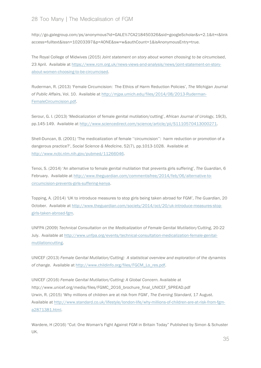#### 28 Too Many | The Medicalisation of FGM

http://go.galegroup.com/ps/anonymous?id=GALE%7CA218450326&sid=googleScholar&v=2.1&it=r&link access=fulltext&issn=10203397&p=AONE&sw=w&authCount=1&isAnonymousEntry=true.

The Royal College of Midwives (2015) *Joint statement on story about women choosing to be circumcised*, 23 April. Available at https://www.rcm.org.uk/news-views-and-analysis/news/joint-statement-on-storyabout-women-choosing-to-be-circumcised.

Ruderman, R. (2013) 'Female Circumcision: The Ethics of Harm Reduction Policies', *The Michigan Journal of Public Affairs*, Vol. 10. Available at http://mjpa.umich.edu/files/2014/08/2013-Ruderman-FemaleCircumcision.pdf.

Serour, G. I. (2013) 'Medicalization of female genital mutilation/cutting', *African Journal of Urology*, 19(3), pp.145-149. Available at http://www.sciencedirect.com/science/article/pii/S1110570413000271.

Shell-Duncan, B. (2001) 'The medicalization of female ''circumcision'': harm reduction or promotion of a dangerous practice?', *Social Science & Medicine*, 52(7), pp.1013-1028. Available at http://www.ncbi.nlm.nih.gov/pubmed/11266046.

Tenoi, S. (2014) 'An alternative to female genital mutilation that prevents girls suffering', *The Guardian*, 6 February. Available at http://www.theguardian.com/commentisfree/2014/feb/06/alternative-tocircumcision-prevents-girls-suffering-kenya.

Topping, A. (2014) 'UK to introduce measures to stop girls being taken abroad for FGM', *The Guardian*, 20 October. Available at http://www.theguardian.com/society/2014/oct/20/uk-introduce-measures-stopgirls-taken-abroad-fgm.

UNFPA (2009) *Technical Consultation on the Medicalization of Female Genital Mutilation/Cutting*, 20-22 July. Available at http://www.unfpa.org/events/technical-consultation-medicalization-female-genitalmutilationcutting.

UNICEF (2013) *Female Genital Mutilation/Cutting: A statistical overview and exploration of the dynamics of change*. Available at http://www.childinfo.org/files/FGCM\_Lo\_res.pdf.

UNICEF (2016) *Female Genital Mutilation/Cutting: A Global Concern.* Available at http://www.unicef.org/media/files/FGMC\_2016\_brochure\_final\_UNICEF\_SPREAD.pdf Urwin, R. (2015) 'Why millions of children are at risk from FGM', *The Evening Standard*, 17 August. Available at http://www.standard.co.uk/lifestyle/london-life/why-millions-of-children-are-at-risk-from-fgma2871381.html.

Wardere, H (2016) "Cut: One Woman's Fight Against FGM in Britain Today" Published by Simon & Schuster UK.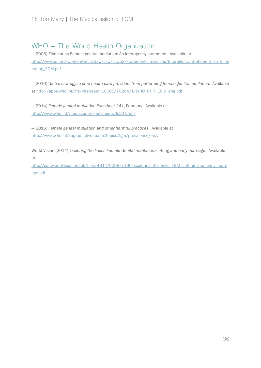#### WHO – The World Health Organization

—(2008) Eliminating Female genital mutilation: An interagency statement. Available at http://www.un.org/womenwatch/daw/csw/csw52/statements\_missions/Interagency\_Statement\_on\_Elimi nating\_FGM.pdf.

—(2010) *Global strategy to stop health-care providers from performing female genital mutilation*. Available at http://apps.who.int/iris/bitstream/10665/70264/1/WHO\_RHR\_10.9\_eng.pdf.

—(2014) *Female genital mutilation Factsheet 241*, February. Available at http://www.who.int/mediacentre/factsheets/fs241/en/.

—(2016) *Female genital mutilation and other harmful practices*. Available at http://www.who.int/reproductivehealth/topics/fgm/prevalence/en/.

World Vision (2014) *Exploring the links: Female Genital mutilation/cutting and early marriage*. Available at

http://cdn.worldvision.org.uk/files/4814/0068/7160/Exploring\_the\_links\_FGM\_cutting\_and\_early\_marri age.pdf.